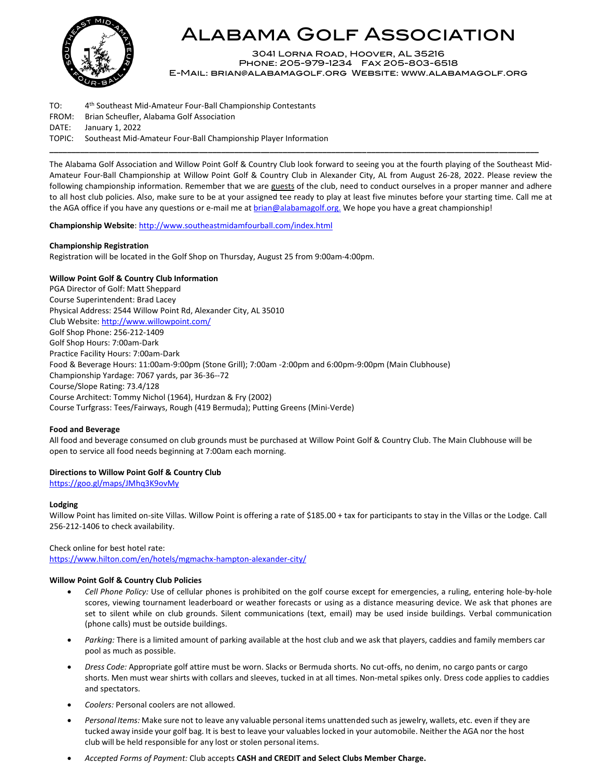

# Alabama Golf Association

3041 Lorna Road, Hoover, AL 35216 Phone: 205-979-1234 Fax 205-803-6518 E-Mail: [brian@alabamagolf.org](mailto:brian@alabamagolf.org) Website: [www.alabamagolf.org](file://///agasrv01/company/ChampionshipFolders/STATEAM/2016/www.alabamagolf.org)

TO: 4<sup>th</sup> Southeast Mid-Amateur Four-Ball Championship Contestants FROM: Brian Scheufler, Alabama Golf Association DATE: January 1, 2022 TOPIC: Southeast Mid-Amateur Four-Ball Championship Player Information

The Alabama Golf Association and Willow Point Golf & Country Club look forward to seeing you at the fourth playing of the Southeast Mid-Amateur Four-Ball Championship at Willow Point Golf & Country Club in Alexander City, AL from August 26-28, 2022. Please review the following championship information. Remember that we are guests of the club, need to conduct ourselves in a proper manner and adhere to all host club policies. Also, make sure to be at your assigned tee ready to play at least five minutes before your starting time. Call me at the AGA office if you have any questions or e-mail me at [brian@alabamagolf.org.](mailto:brian@alabamagolf.org) We hope you have a great championship!

**\_\_\_\_\_\_\_\_\_\_\_\_\_\_\_\_\_\_\_\_\_\_\_\_\_\_\_\_\_\_\_\_\_\_\_\_\_\_\_\_\_\_\_\_\_\_\_\_\_\_\_\_\_\_\_\_\_\_\_\_\_\_\_\_\_\_\_\_\_\_\_\_\_\_\_\_\_\_\_\_\_\_\_\_\_\_\_\_\_\_\_\_\_\_\_\_\_\_\_\_\_\_\_\_\_\_\_\_\_\_\_**

**Championship Website**[: http://www.southeastmidamfourball.com/index.html](http://www.southeastmidamfourball.com/index.html)

# **Championship Registration**

Registration will be located in the Golf Shop on Thursday, August 25 from 9:00am-4:00pm.

# **Willow Point Golf & Country Club Information**

PGA Director of Golf: Matt Sheppard Course Superintendent: Brad Lacey Physical Address: 2544 Willow Point Rd, Alexander City, AL 35010 Club Website[: http://www.willowpoint.com/](http://www.willowpoint.com/) Golf Shop Phone: 256-212-1409 Golf Shop Hours: 7:00am-Dark Practice Facility Hours: 7:00am-Dark Food & Beverage Hours: 11:00am-9:00pm (Stone Grill); 7:00am -2:00pm and 6:00pm-9:00pm (Main Clubhouse) Championship Yardage: 7067 yards, par 36-36--72 Course/Slope Rating: 73.4/128 Course Architect: Tommy Nichol (1964), Hurdzan & Fry (2002) Course Turfgrass: Tees/Fairways, Rough (419 Bermuda); Putting Greens (Mini-Verde)

# **Food and Beverage**

All food and beverage consumed on club grounds must be purchased at Willow Point Golf & Country Club. The Main Clubhouse will be open to service all food needs beginning at 7:00am each morning.

#### **Directions to Willow Point Golf & Country Club**

<https://goo.gl/maps/JMhq3K9ovMy>

#### **Lodging**

Willow Point has limited on-site Villas. Willow Point is offering a rate of \$185.00 + tax for participants to stay in the Villas or the Lodge. Call 256-212-1406 to check availability.

#### Check online for best hotel rate:

<https://www.hilton.com/en/hotels/mgmachx-hampton-alexander-city/>

#### **Willow Point Golf & Country Club Policies**

- *Cell Phone Policy:* Use of cellular phones is prohibited on the golf course except for emergencies, a ruling, entering hole-by-hole scores, viewing tournament leaderboard or weather forecasts or using as a distance measuring device. We ask that phones are set to silent while on club grounds. Silent communications (text, email) may be used inside buildings. Verbal communication (phone calls) must be outside buildings.
- *Parking:* There is a limited amount of parking available at the host club and we ask that players, caddies and family members car pool as much as possible.
- *Dress Code:* Appropriate golf attire must be worn. Slacks or Bermuda shorts. No cut-offs, no denim, no cargo pants or cargo shorts. Men must wear shirts with collars and sleeves, tucked in at all times. Non-metal spikes only. Dress code applies to caddies and spectators.
- *Coolers:* Personal coolers are not allowed.
- *Personal Items:* Make sure not to leave any valuable personal items unattended such as jewelry, wallets, etc. even if they are tucked away inside your golf bag. It is best to leave your valuableslocked in your automobile. Neither the AGA nor the host club will be held responsible for any lost or stolen personal items.
- *Accepted Forms of Payment:* Club accepts **CASH and CREDIT and Select Clubs Member Charge.**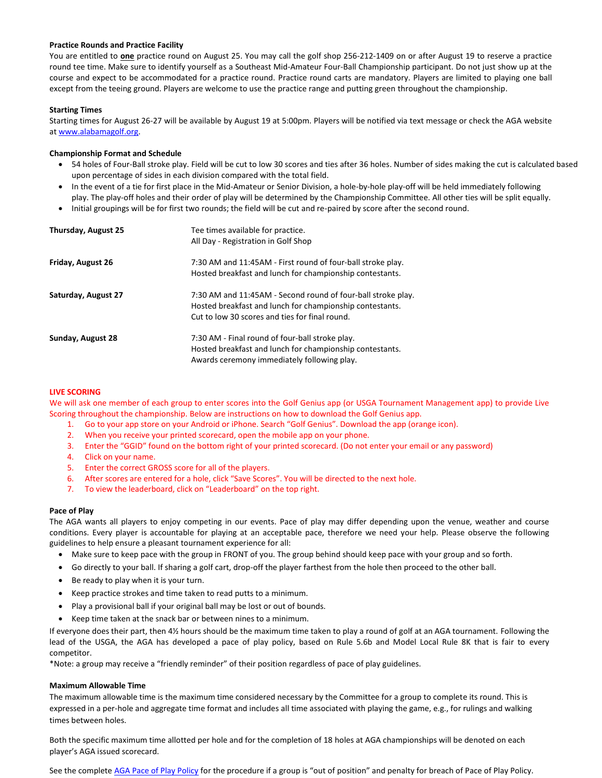## **Practice Rounds and Practice Facility**

You are entitled to **one** practice round on August 25. You may call the golf shop 256-212-1409 on or after August 19 to reserve a practice round tee time. Make sure to identify yourself as a Southeast Mid-Amateur Four-Ball Championship participant. Do not just show up at the course and expect to be accommodated for a practice round. Practice round carts are mandatory. Players are limited to playing one ball except from the teeing ground. Players are welcome to use the practice range and putting green throughout the championship.

## **Starting Times**

Starting times for August 26-27 will be available by August 19 at 5:00pm. Players will be notified via text message or check the AGA website at [www.alabamagolf.org.](http://www.alabamagolf.org/)

## **Championship Format and Schedule**

- 54 holes of Four-Ball stroke play. Field will be cut to low 30 scores and ties after 36 holes. Number of sides making the cut is calculated based upon percentage of sides in each division compared with the total field.
- In the event of a tie for first place in the Mid-Amateur or Senior Division, a hole-by-hole play-off will be held immediately following
- play. The play-off holes and their order of play will be determined by the Championship Committee. All other ties will be split equally.
- Initial groupings will be for first two rounds; the field will be cut and re-paired by score after the second round.

| Thursday, August 25 | Tee times available for practice.<br>All Day - Registration in Golf Shop                                                                                                   |
|---------------------|----------------------------------------------------------------------------------------------------------------------------------------------------------------------------|
| Friday, August 26   | 7:30 AM and 11:45AM - First round of four-ball stroke play.<br>Hosted breakfast and lunch for championship contestants.                                                    |
| Saturday, August 27 | 7:30 AM and 11:45AM - Second round of four-ball stroke play.<br>Hosted breakfast and lunch for championship contestants.<br>Cut to low 30 scores and ties for final round. |
| Sunday, August 28   | 7:30 AM - Final round of four-ball stroke play.<br>Hosted breakfast and lunch for championship contestants.<br>Awards ceremony immediately following play.                 |

#### **LIVE SCORING**

We will ask one member of each group to enter scores into the Golf Genius app (or USGA Tournament Management app) to provide Live Scoring throughout the championship. Below are instructions on how to download the Golf Genius app.

- 1. Go to your app store on your Android or iPhone. Search "Golf Genius". Download the app (orange icon).
- 2. When you receive your printed scorecard, open the mobile app on your phone.
- 3. Enter the "GGID" found on the bottom right of your printed scorecard. (Do not enter your email or any password)
- 4. Click on your name.
- 5. Enter the correct GROSS score for all of the players.
- 6. After scores are entered for a hole, click "Save Scores". You will be directed to the next hole.
- 7. To view the leaderboard, click on "Leaderboard" on the top right.

#### **Pace of Play**

The AGA wants all players to enjoy competing in our events. Pace of play may differ depending upon the venue, weather and course conditions. Every player is accountable for playing at an acceptable pace, therefore we need your help. Please observe the following guidelines to help ensure a pleasant tournament experience for all:

- Make sure to keep pace with the group in FRONT of you. The group behind should keep pace with your group and so forth.
- Go directly to your ball. If sharing a golf cart, drop-off the player farthest from the hole then proceed to the other ball.
- Be ready to play when it is your turn.
- Keep practice strokes and time taken to read putts to a minimum.
- Play a provisional ball if your original ball may be lost or out of bounds.
- Keep time taken at the snack bar or between nines to a minimum.

If everyone does their part, then 4½ hours should be the maximum time taken to play a round of golf at an AGA tournament. Following the lead of the USGA, the AGA has developed a pace of play policy, based on Rule 5.6b and Model Local Rule 8K that is fair to every competitor.

\*Note: a group may receive a "friendly reminder" of their position regardless of pace of play guidelines.

# **Maximum Allowable Time**

The maximum allowable time is the maximum time considered necessary by the Committee for a group to complete its round. This is expressed in a per-hole and aggregate time format and includes all time associated with playing the game, e.g., for rulings and walking times between holes.

Both the specific maximum time allotted per hole and for the completion of 18 holes at AGA championships will be denoted on each player's AGA issued scorecard.

See the complet[e AGA Pace of Play Policy](http://www.alabamagolf.org/images/alabamagolf/site/champ/AGAPaceofPlay.pdf) for the procedure if a group is "out of position" and penalty for breach of Pace of Play Policy.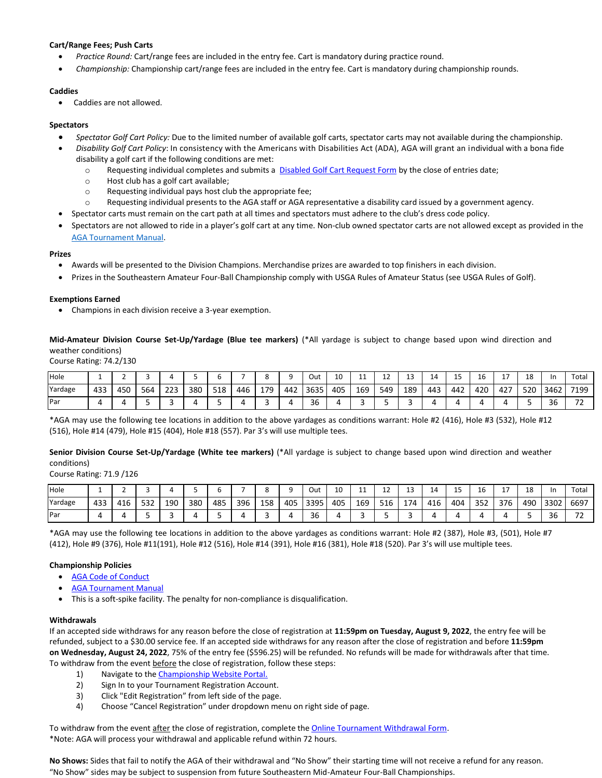# **Cart/Range Fees; Push Carts**

- *Practice Round:* Cart/range fees are included in the entry fee. Cart is mandatory during practice round.
- *Championship:* Championship cart/range fees are included in the entry fee. Cart is mandatory during championship rounds.

# **Caddies**

Caddies are not allowed.

## **Spectators**

- *Spectator Golf Cart Policy:* Due to the limited number of available golf carts, spectator carts may not available during the championship.
- *Disability Golf Cart Policy*: In consistency with the Americans with Disabilities Act (ADA), AGA will grant an individual with a bona fide disability a golf cart if the following conditions are met:
	- o Requesting individual completes and submits a [Disabled Golf Cart Request Form](https://form.jotform.com/80464838910159) by the close of entries date;
	- o Host club has a golf cart available;
	- o Requesting individual pays host club the appropriate fee;
	- o Requesting individual presents to the AGA staff or AGA representative a disability card issued by a government agency.
- Spectator carts must remain on the cart path at all times and spectators must adhere to the club's dress code policy.
- Spectators are not allowed to ride in a player's golf cart at any time. Non-club owned spectator carts are not allowed except as provided in the [AGA Tournament Manual.](http://www.alabamagolf.org/images/alabamagolf/site/champ/tournamentmanual.pdf)

#### **Prizes**

- Awards will be presented to the Division Champions. Merchandise prizes are awarded to top finishers in each division.
- Prizes in the Southeastern Amateur Four-Ball Championship comply with USGA Rules of Amateur Status (see USGA Rules of Golf).

# **Exemptions Earned**

• Champions in each division receive a 3-year exemption.

**Mid-Amateur Division Course Set-Up/Yardage (Blue tee markers)** (\*All yardage is subject to change based upon wind direction and weather conditions)

Course Rating: 74.2/130

| Hole    |     |     |     |     |     |     |     |     |     | Out  | 10  | . . | ᆠ   | ᅩ   | ᅸ   | <b>__</b> | ⊥∪  |     | 18  | In           | Total                           |
|---------|-----|-----|-----|-----|-----|-----|-----|-----|-----|------|-----|-----|-----|-----|-----|-----------|-----|-----|-----|--------------|---------------------------------|
| Yardage | 433 | 450 | 564 | 223 | 380 | 518 | 446 | 179 | 442 | 3635 | 405 | 169 | 549 | 189 | 443 | 442       | 420 | 427 | 520 | 3462         | 7199                            |
| Par     |     |     |     |     |     |     |     |     |     | 36   |     |     |     |     |     |           |     |     |     | $\sim$<br>36 | $\overline{\phantom{a}}$<br>. . |

\*AGA may use the following tee locations in addition to the above yardages as conditions warrant: Hole #2 (416), Hole #3 (532), Hole #12 (516), Hole #14 (479), Hole #15 (404), Hole #18 (557). Par 3's will use multiple tees.

**Senior Division Course Set-Up/Yardage (White tee markers)** (\*All yardage is subject to change based upon wind direction and weather conditions)

Course Rating: 71.9 /126

| Hole    |     |     |     |     |     |     |     |     |     | Out  | 10  | $\sim$<br>. . | <b></b> | ᅩ   | 14  | ∸   | TС  |     | 18  | In   | Total                         |
|---------|-----|-----|-----|-----|-----|-----|-----|-----|-----|------|-----|---------------|---------|-----|-----|-----|-----|-----|-----|------|-------------------------------|
| Yardage | 433 | 416 | 532 | 190 | 380 | 485 | 396 | 158 | 405 | 3395 | 405 | 169           | 516     | 174 | 416 | 404 | 352 | 376 | 490 | 3302 | 6697                          |
| Par     |     |     |     |     |     |     |     |     |     | 36   |     |               |         |     |     |     |     |     |     | 36   | $\overline{\phantom{a}}$<br>- |

\*AGA may use the following tee locations in addition to the above yardages as conditions warrant: Hole #2 (387), Hole #3, (501), Hole #7 (412), Hole #9 (376), Hole #11(191), Hole #12 (516), Hole #14 (391), Hole #16 (381), Hole #18 (520). Par 3's will use multiple tees.

# **Championship Policies**

- [AGA Code of Conduct](http://www.alabamagolf.org/images/alabamagolf/site/champ/AGACodeOfConduct.pdf)
- **[AGA Tournament Manual](http://www.alabamagolf.org/images/alabamagolf/site/champ/tournamentmanual.pdf)**
- This is a soft-spike facility. The penalty for non-compliance is disqualification.

#### **Withdrawals**

If an accepted side withdraws for any reason before the close of registration at **11:59pm on Tuesday, August 9, 2022**, the entry fee will be refunded, subject to a \$30.00 service fee. If an accepted side withdraws for any reason after the close of registration and before **11:59pm on Wednesday, August 24, 2022**, 75% of the entry fee (\$596.25) will be refunded. No refunds will be made for withdrawals after that time. To withdraw from the event before the close of registration, follow these steps:

- 1) Navigate to th[e Championship Website Portal.](https://www.golfgenius.com/pages/3275319)
- 2) Sign In to your Tournament Registration Account.
- 3) Click "Edit Registration" from left side of the page.
- 4) Choose "Cancel Registration" under dropdown menu on right side of page.

To withdraw from the event after the close of registration, complete the [Online Tournament Withdrawal Form.](https://form.jotform.com/83325136316149) \*Note: AGA will process your withdrawal and applicable refund within 72 hours.

**No Shows:** Sides that fail to notify the AGA of their withdrawal and "No Show" their starting time will not receive a refund for any reason. "No Show" sides may be subject to suspension from future Southeastern Mid-Amateur Four-Ball Championships.